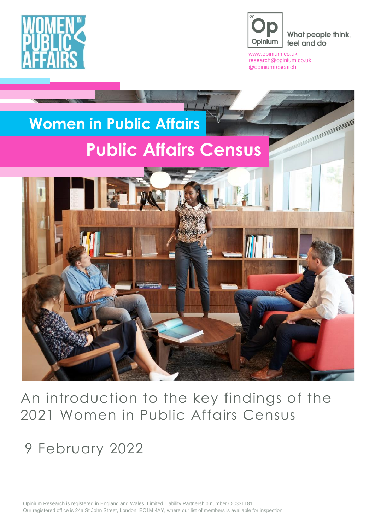



What people think, feel and do

[www.opinium.co.uk](http://www.opinium.co.uk/) [research@opinium.co.uk](mailto:research@opinium.co.uk) @opiniumresearch



An introduction to the key findings of the 2021 Women in Public Affairs Census

9 February 2022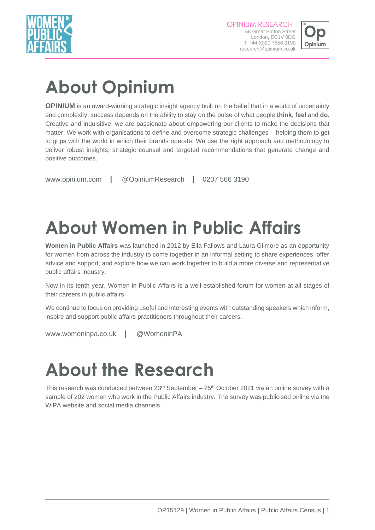



# **About Opinium**

**OPINIUM** is an award-winning strategic insight agency built on the belief that in a world of uncertainty and complexity, success depends on the ability to stay on the pulse of what people **think**, **feel** and **do**. Creative and inquisitive, we are passionate about empowering our clients to make the decisions that matter. We work with organisations to define and overcome strategic challenges – helping them to get to grips with the world in which their brands operate. We use the right approach and methodology to deliver robust insights, strategic counsel and targeted recommendations that generate change and positive outcomes.

www.opinium.com **|** [@OpiniumResearch](mailto:research@opinium.co.uk) **|** 0207 566 3190

# **About Women in Public Affairs**

**Women in Public Affairs** was launched in 2012 by Ella Fallows and Laura Gilmore as an opportunity for women from across the industry to come together in an informal setting to share experiences, offer advice and support, and explore how we can work together to build a more diverse and representative public affairs industry.

Now in its tenth year, Women in Public Affairs is a well-established forum for women at all stages of their careers in public affairs.

We continue to focus on providing useful and interesting events with outstanding speakers which inform, inspire and support public affairs practitioners throughout their careers.

www.womeninpa.co.uk **|** [@W](mailto:research@opinium.co.uk)omeninPA

# **About the Research**

This research was conducted between  $23<sup>rd</sup>$  September  $-25<sup>th</sup>$  October 2021 via an online survey with a sample of 202 women who work in the Public Affairs industry. The survey was publicised online via the WiPA website and social media channels.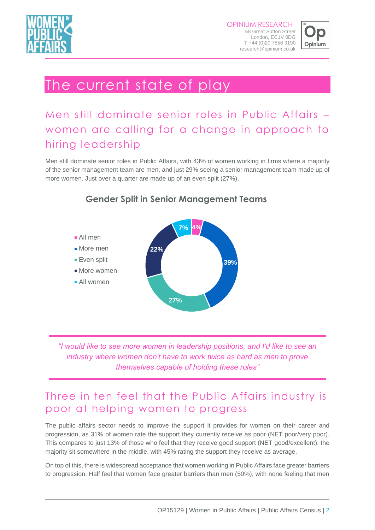



## The current state of play

## Men still dominate senior roles in Public Affairs – women are calling for a change in approach to hiring leadership

Men still dominate senior roles in Public Affairs, with 43% of women working in firms where a majority of the senior management team are men, and just 29% seeing a senior management team made up of more women. Just over a quarter are made up of an even split (27%).



#### **Gender Split in Senior Management Teams**

*"I would like to see more women in leadership positions, and I'd like to see an industry where women don't have to work twice as hard as men to prove themselves capable of holding these roles"*

#### Three in ten feel that the Public Affairs industry is poor at helping women to progress

The public affairs sector needs to improve the support it provides for women on their career and progression, as 31% of women rate the support they currently receive as poor (NET poor/very poor). This compares to just 13% of those who feel that they receive good support (NET good/excellent); the majority sit somewhere in the middle, with 45% rating the support they receive as average.

On top of this, there is widespread acceptance that women working in Public Affairs face greater barriers to progression. Half feel that women face greater barriers than men (50%), with none feeling that men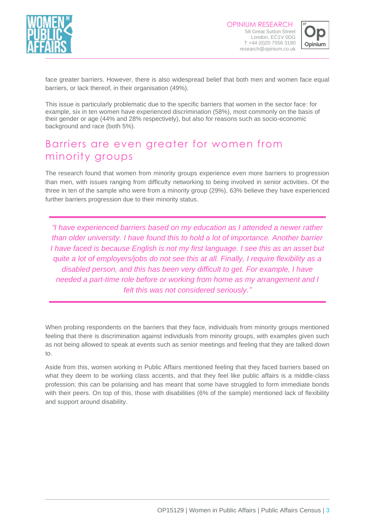



face greater barriers. However, there is also widespread belief that both men and women face equal barriers, or lack thereof, in their organisation (49%).

This issue is particularly problematic due to the specific barriers that women in the sector face: for example, six in ten women have experienced discrimination (58%), most commonly on the basis of their gender or age (44% and 28% respectively), but also for reasons such as socio-economic background and race (both 5%).

### Barriers are even greater for women from minority groups

The research found that women from minority groups experience even more barriers to progression than men, with issues ranging from difficulty networking to being involved in senior activities. Of the three in ten of the sample who were from a minority group (29%), 63% believe they have experienced further barriers progression due to their minority status.

*"I have experienced barriers based on my education as I attended a newer rather than older university. I have found this to hold a lot of importance. Another barrier I have faced is because English is not my first language. I see this as an asset but quite a lot of employers/jobs do not see this at all. Finally, I require flexibility as a disabled person, and this has been very difficult to get. For example, I have needed a part-time role before or working from home as my arrangement and I felt this was not considered seriously."*

When probing respondents on the barriers that they face, individuals from minority groups mentioned feeling that there is discrimination against individuals from minority groups, with examples given such as not being allowed to speak at events such as senior meetings and feeling that they are talked down to.

Aside from this, women working in Public Affairs mentioned feeling that they faced barriers based on what they deem to be working class accents, and that they feel like public affairs is a middle-class profession; this can be polarising and has meant that some have struggled to form immediate bonds with their peers. On top of this, those with disabilities (6% of the sample) mentioned lack of flexibility and support around disability.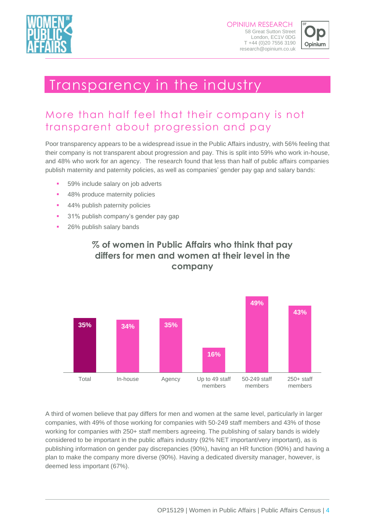



## Transparency in the industry

### More than half feel that their company is not transparent about progression and pay

Poor transparency appears to be a widespread issue in the Public Affairs industry, with 56% feeling that their company is not transparent about progression and pay. This is split into 59% who work in-house, and 48% who work for an agency. The research found that less than half of public affairs companies publish maternity and paternity policies, as well as companies' gender pay gap and salary bands:

- 59% include salary on job adverts
- 48% produce maternity policies
- 44% publish paternity policies
- 31% publish company's gender pay gap
- 26% publish salary bands



#### **% of women in Public Affairs who think that pay differs for men and women at their level in the company**

A third of women believe that pay differs for men and women at the same level, particularly in larger companies, with 49% of those working for companies with 50-249 staff members and 43% of those working for companies with 250+ staff members agreeing. The publishing of salary bands is widely considered to be important in the public affairs industry (92% NET important/very important), as is publishing information on gender pay discrepancies (90%), having an HR function (90%) and having a plan to make the company more diverse (90%). Having a dedicated diversity manager, however, is deemed less important (67%).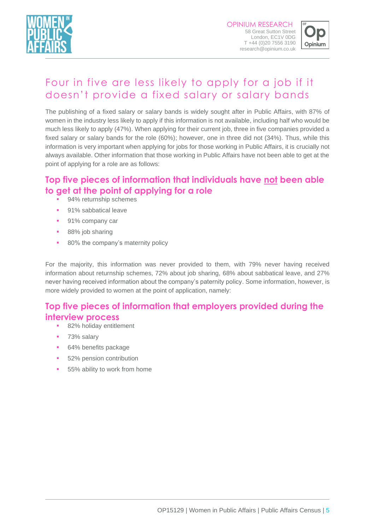



## Four in five are less likely to apply for a job if it doesn't provide a fixed salary or salary bands

The publishing of a fixed salary or salary bands is widely sought after in Public Affairs, with 87% of women in the industry less likely to apply if this information is not available, including half who would be much less likely to apply (47%). When applying for their current job, three in five companies provided a fixed salary or salary bands for the role (60%); however, one in three did not (34%). Thus, while this information is very important when applying for jobs for those working in Public Affairs, it is crucially not always available. Other information that those working in Public Affairs have not been able to get at the point of applying for a role are as follows:

#### **Top five pieces of information that individuals have not been able to get at the point of applying for a role**

- 94% returnship schemes
- 91% sabbatical leave
- 91% company car
- 88% job sharing
- 80% the company's maternity policy

For the majority, this information was never provided to them, with 79% never having received information about returnship schemes, 72% about job sharing, 68% about sabbatical leave, and 27% never having received information about the company's paternity policy. Some information, however, is more widely provided to women at the point of application, namely:

#### **Top five pieces of information that employers provided during the interview process**

- 82% holiday entitlement
- 73% salary
- 64% benefits package
- 52% pension contribution
- 55% ability to work from home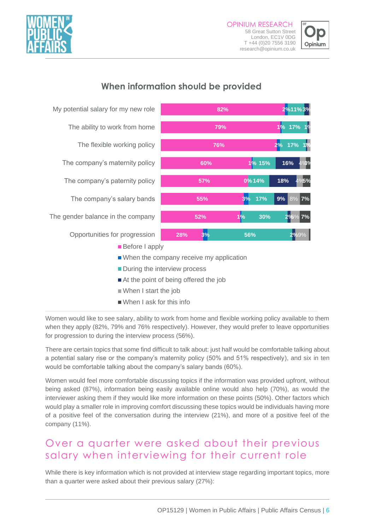



#### **When information should be provided**



- At the point of being offered the job
- When I start the job
- When I ask for this info

Women would like to see salary, ability to work from home and flexible working policy available to them when they apply (82%, 79% and 76% respectively). However, they would prefer to leave opportunities for progression to during the interview process (56%).

There are certain topics that some find difficult to talk about: just half would be comfortable talking about a potential salary rise or the company's maternity policy (50% and 51% respectively), and six in ten would be comfortable talking about the company's salary bands (60%).

Women would feel more comfortable discussing topics if the information was provided upfront, without being asked (87%), information being easily available online would also help (70%), as would the interviewer asking them if they would like more information on these points (50%). Other factors which would play a smaller role in improving comfort discussing these topics would be individuals having more of a positive feel of the conversation during the interview (21%), and more of a positive feel of the company (11%).

### Over a quarter were asked about their previous salary when interviewing for their current role

While there is key information which is not provided at interview stage regarding important topics, more than a quarter were asked about their previous salary (27%):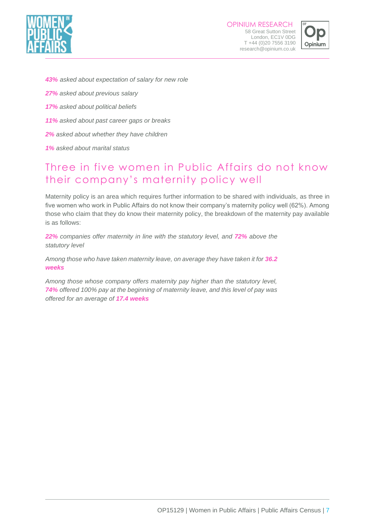



- *43% asked about expectation of salary for new role*
- *27% asked about previous salary*
- *17% asked about political beliefs*
- *11% asked about past career gaps or breaks*
- *2% asked about whether they have children*
- *1% asked about marital status*

#### Three in five women in Public Affairs do not know their company's maternity policy well

Maternity policy is an area which requires further information to be shared with individuals, as three in five women who work in Public Affairs do not know their company's maternity policy well (62%). Among those who claim that they do know their maternity policy, the breakdown of the maternity pay available is as follows:

*22% companies offer maternity in line with the statutory level, and 72% above the statutory level*

*Among those who have taken maternity leave, on average they have taken it for 36.2 weeks*

*Among those whose company offers maternity pay higher than the statutory level, 74% offered 100% pay at the beginning of maternity leave, and this level of pay was offered for an average of 17.4 weeks*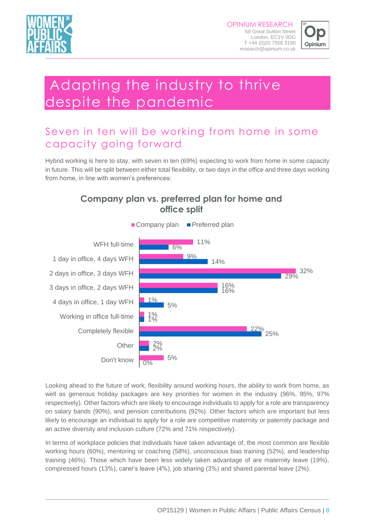



# Adapting the industry to thrive despite the pandemic

## Seven in ten will be working from home in some capacity going forward

Hybrid working is here to stay, with seven in ten (69%) expecting to work from home in some capacity in future. This will be split between either total flexibility, or two days in the office and three days working from home, in line with women's preferences:





Looking ahead to the future of work, flexibility around working hours, the ability to work from home, as well as generous holiday packages are key priorities for women in the industry (96%, 95%, 97% respectively). Other factors which are likely to encourage individuals to apply for a role are transparency on salary bands (90%), and pension contributions (92%). Other factors which are important but less likely to encourage an individual to apply for a role are competitive maternity or paternity package and an active diversity and inclusion culture (72% and 71% respectively).

In terms of workplace policies that individuals have taken advantage of, the most common are flexible working hours (60%), mentoring or coaching (58%), unconscious bias training (52%), and leadership training (46%). Those which have been less widely taken advantage of are maternity leave (19%), compressed hours (13%), carer's leave (4%), job sharing (3%) and shared parental leave (2%).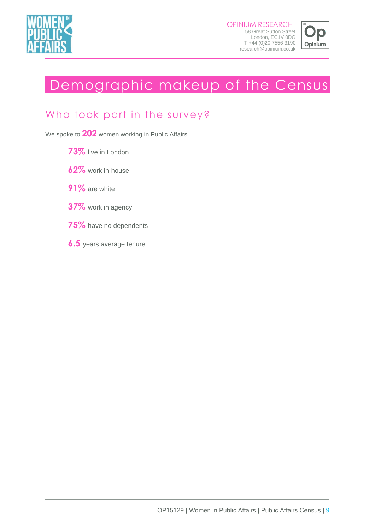



# Demographic makeup of the Census

#### Who took part in the survey?

We spoke to **202** women working in Public Affairs

- **73%** live in London
- **62%** work in-house
- **91%** are white
- **37%** work in agency
- **75%** have no dependents
- **6.5** years average tenure